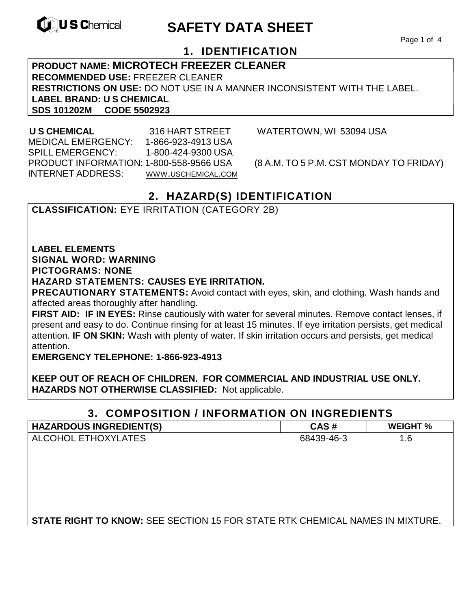

# **EXAGREM** SAFETY DATA SHEET

Page 1 of 4

## **1. IDENTIFICATION**

### **PRODUCT NAME: MICROTECH FREEZER CLEANER RECOMMENDED USE:** FREEZER CLEANER **RESTRICTIONS ON USE:** DO NOT USE IN A MANNER INCONSISTENT WITH THE LABEL. **LABEL BRAND: U S CHEMICAL SDS 101202M CODE 5502923**

 MEDICAL EMERGENCY: 1-866-923-4913 USA SPILL EMERGENCY: 1-800-424-9300 USA PRODUCT INFORMATION: 1-800-558-9566 USA (8 A.M. TO 5 P.M. CST MONDAY TO FRIDAY) INTERNET ADDRESS: WWW.USCHEMICAL.COM

**U S CHEMICAL** 316 HART STREET WATERTOWN, WI 53094 USA

# **2. HAZARD(S) IDENTIFICATION**

**CLASSIFICATION:** EYE IRRITATION (CATEGORY 2B)

**LABEL ELEMENTS** 

### **SIGNAL WORD: WARNING**

**PICTOGRAMS: NONE**

### **HAZARD STATEMENTS: CAUSES EYE IRRITATION.**

**PRECAUTIONARY STATEMENTS:** Avoid contact with eyes, skin, and clothing. Wash hands and affected areas thoroughly after handling.

**FIRST AID: IF IN EYES:** Rinse cautiously with water for several minutes. Remove contact lenses, if present and easy to do. Continue rinsing for at least 15 minutes. If eye irritation persists, get medical attention. **IF ON SKIN:** Wash with plenty of water. If skin irritation occurs and persists, get medical attention.

**EMERGENCY TELEPHONE: 1-866-923-4913** 

**KEEP OUT OF REACH OF CHILDREN. FOR COMMERCIAL AND INDUSTRIAL USE ONLY. HAZARDS NOT OTHERWISE CLASSIFIED:** Not applicable.

### **3. COMPOSITION / INFORMATION ON INGREDIENTS**

| <b>HAZARDOUS INGREDIENT(S)</b>                                                      | CAS#       | <b>WEIGHT %</b> |
|-------------------------------------------------------------------------------------|------------|-----------------|
| ALCOHOL ETHOXYLATES                                                                 | 68439-46-3 | 1.6             |
|                                                                                     |            |                 |
|                                                                                     |            |                 |
|                                                                                     |            |                 |
|                                                                                     |            |                 |
|                                                                                     |            |                 |
|                                                                                     |            |                 |
| <b>STATE RIGHT TO KNOW: SEE SECTION 15 FOR STATE RTK CHEMICAL NAMES IN MIXTURE.</b> |            |                 |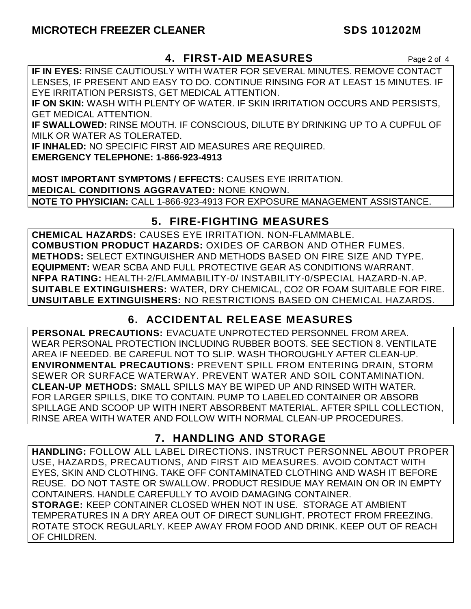## **MICROTECH FREEZER CLEANER** SDS 101202M

### **4. FIRST-AID MEASURES** Page 2 of 4

**IF IN EYES:** RINSE CAUTIOUSLY WITH WATER FOR SEVERAL MINUTES. REMOVE CONTACT LENSES, IF PRESENT AND EASY TO DO. CONTINUE RINSING FOR AT LEAST 15 MINUTES. IF EYE IRRITATION PERSISTS, GET MEDICAL ATTENTION.

**IF ON SKIN:** WASH WITH PLENTY OF WATER. IF SKIN IRRITATION OCCURS AND PERSISTS, GET MEDICAL ATTENTION.

**IF SWALLOWED:** RINSE MOUTH. IF CONSCIOUS, DILUTE BY DRINKING UP TO A CUPFUL OF MILK OR WATER AS TOLERATED.

**IF INHALED:** NO SPECIFIC FIRST AID MEASURES ARE REQUIRED.

**EMERGENCY TELEPHONE: 1-866-923-4913** 

**MOST IMPORTANT SYMPTOMS / EFFECTS:** CAUSES EYE IRRITATION. **MEDICAL CONDITIONS AGGRAVATED:** NONE KNOWN. **NOTE TO PHYSICIAN:** CALL 1-866-923-4913 FOR EXPOSURE MANAGEMENT ASSISTANCE.

# **5. FIRE-FIGHTING MEASURES**

**CHEMICAL HAZARDS:** CAUSES EYE IRRITATION. NON-FLAMMABLE. **COMBUSTION PRODUCT HAZARDS:** OXIDES OF CARBON AND OTHER FUMES. **METHODS:** SELECT EXTINGUISHER AND METHODS BASED ON FIRE SIZE AND TYPE. **EQUIPMENT:** WEAR SCBA AND FULL PROTECTIVE GEAR AS CONDITIONS WARRANT. **NFPA RATING:** HEALTH-2/FLAMMABILITY-0/ INSTABILITY-0/SPECIAL HAZARD-N.AP. **SUITABLE EXTINGUISHERS:** WATER, DRY CHEMICAL, CO2 OR FOAM SUITABLE FOR FIRE. **UNSUITABLE EXTINGUISHERS:** NO RESTRICTIONS BASED ON CHEMICAL HAZARDS.

# **6. ACCIDENTAL RELEASE MEASURES**

**PERSONAL PRECAUTIONS:** EVACUATE UNPROTECTED PERSONNEL FROM AREA. WEAR PERSONAL PROTECTION INCLUDING RUBBER BOOTS. SEE SECTION 8. VENTILATE AREA IF NEEDED. BE CAREFUL NOT TO SLIP. WASH THOROUGHLY AFTER CLEAN-UP. **ENVIRONMENTAL PRECAUTIONS:** PREVENT SPILL FROM ENTERING DRAIN, STORM SEWER OR SURFACE WATERWAY. PREVENT WATER AND SOIL CONTAMINATION. **CLEAN-UP METHODS:** SMALL SPILLS MAY BE WIPED UP AND RINSED WITH WATER. FOR LARGER SPILLS, DIKE TO CONTAIN. PUMP TO LABELED CONTAINER OR ABSORB SPILLAGE AND SCOOP UP WITH INERT ABSORBENT MATERIAL. AFTER SPILL COLLECTION, RINSE AREA WITH WATER AND FOLLOW WITH NORMAL CLEAN-UP PROCEDURES.

# **7. HANDLING AND STORAGE**

**HANDLING:** FOLLOW ALL LABEL DIRECTIONS. INSTRUCT PERSONNEL ABOUT PROPER USE, HAZARDS, PRECAUTIONS, AND FIRST AID MEASURES. AVOID CONTACT WITH EYES, SKIN AND CLOTHING. TAKE OFF CONTAMINATED CLOTHING AND WASH IT BEFORE REUSE. DO NOT TASTE OR SWALLOW. PRODUCT RESIDUE MAY REMAIN ON OR IN EMPTY CONTAINERS. HANDLE CAREFULLY TO AVOID DAMAGING CONTAINER. **STORAGE:** KEEP CONTAINER CLOSED WHEN NOT IN USE. STORAGE AT AMBIENT TEMPERATURES IN A DRY AREA OUT OF DIRECT SUNLIGHT. PROTECT FROM FREEZING. ROTATE STOCK REGULARLY. KEEP AWAY FROM FOOD AND DRINK. KEEP OUT OF REACH OF CHILDREN.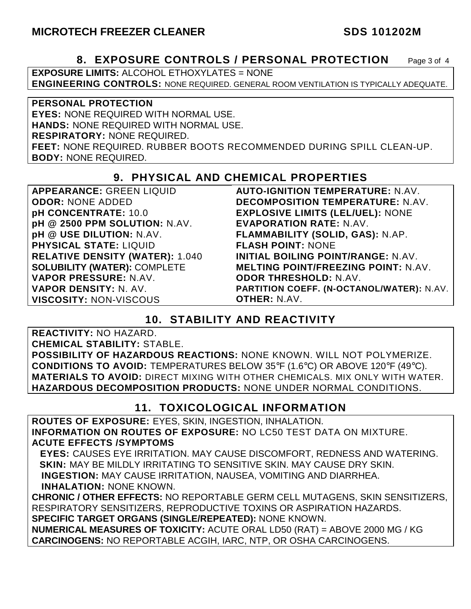### **8. EXPOSURE CONTROLS / PERSONAL PROTECTION** Page 3 of 4

**EXPOSURE LIMITS:** ALCOHOL ETHOXYLATES = NONE **ENGINEERING CONTROLS:** NONE REQUIRED. GENERAL ROOM VENTILATION IS TYPICALLY ADEQUATE.

**PERSONAL PROTECTION EYES:** NONE REQUIRED WITH NORMAL USE. **HANDS:** NONE REQUIRED WITH NORMAL USE. **RESPIRATORY:** NONE REQUIRED. **FEET:** NONE REQUIRED. RUBBER BOOTS RECOMMENDED DURING SPILL CLEAN-UP. **BODY:** NONE REQUIRED.

## **9. PHYSICAL AND CHEMICAL PROPERTIES**

**APPEARANCE:** GREEN LIQUID **ODOR:** NONE ADDED **pH CONCENTRATE:** 10.0 **pH @ 2500 PPM SOLUTION:** N.AV. **pH @ USE DILUTION:** N.AV. **PHYSICAL STATE:** LIQUID **RELATIVE DENSITY (WATER):** 1.040 **SOLUBILITY (WATER):** COMPLETE **VAPOR PRESSURE:** N.AV. **VAPOR DENSITY:** N. AV. **VISCOSITY:** NON-VISCOUS

**AUTO-IGNITION TEMPERATURE:** N.AV. **DECOMPOSITION TEMPERATURE:** N.AV. **EXPLOSIVE LIMITS (LEL/UEL):** NONE **EVAPORATION RATE:** N.AV. **FLAMMABILITY (SOLID, GAS):** N.AP. **FLASH POINT:** NONE **INITIAL BOILING POINT/RANGE:** N.AV. **MELTING POINT/FREEZING POINT:** N.AV. **ODOR THRESHOLD:** N.AV. **PARTITION COEFF. (N-OCTANOL/WATER):** N.AV. **OTHER:** N.AV.

### **10. STABILITY AND REACTIVITY**

**REACTIVITY:** NO HAZARD.

**CHEMICAL STABILITY:** STABLE.

**POSSIBILITY OF HAZARDOUS REACTIONS:** NONE KNOWN. WILL NOT POLYMERIZE. **CONDITIONS TO AVOID:** TEMPERATURES BELOW 35°F (1.6°C) OR ABOVE 120°F (49°C). **MATERIALS TO AVOID:** DIRECT MIXING WITH OTHER CHEMICALS. MIX ONLY WITH WATER. **HAZARDOUS DECOMPOSITION PRODUCTS:** NONE UNDER NORMAL CONDITIONS.

### **11. TOXICOLOGICAL INFORMATION**

**ROUTES OF EXPOSURE:** EYES, SKIN, INGESTION, INHALATION. **INFORMATION ON ROUTES OF EXPOSURE:** NO LC50 TEST DATA ON MIXTURE. **ACUTE EFFECTS /SYMPTOMS**

 **EYES:** CAUSES EYE IRRITATION. MAY CAUSE DISCOMFORT, REDNESS AND WATERING. **SKIN:** MAY BE MILDLY IRRITATING TO SENSITIVE SKIN. MAY CAUSE DRY SKIN. **INGESTION:** MAY CAUSE IRRITATION, NAUSEA, VOMITING AND DIARRHEA. **INHALATION:** NONE KNOWN.

**CHRONIC / OTHER EFFECTS:** NO REPORTABLE GERM CELL MUTAGENS, SKIN SENSITIZERS, RESPIRATORY SENSITIZERS, REPRODUCTIVE TOXINS OR ASPIRATION HAZARDS. **SPECIFIC TARGET ORGANS (SINGLE/REPEATED):** NONE KNOWN.

**NUMERICAL MEASURES OF TOXICITY:** ACUTE ORAL LD50 (RAT) = ABOVE 2000 MG / KG **CARCINOGENS:** NO REPORTABLE ACGIH, IARC, NTP, OR OSHA CARCINOGENS.